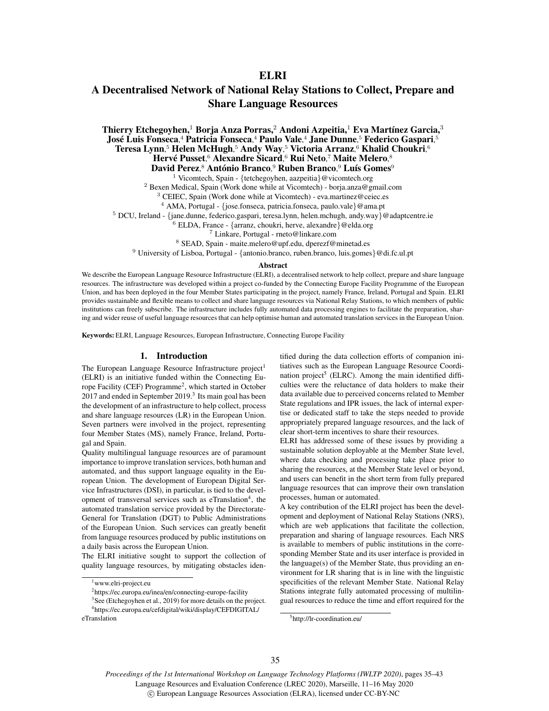# **ELRI**

# A Decentralised Network of National Relay Stations to Collect, Prepare and Share Language Resources

Thierry Etchegoyhen,<sup>1</sup> Borja Anza Porras,<sup>2</sup> Andoni Azpeitia,<sup>1</sup> Eva Martínez Garcia,<sup>3</sup> José Luis Fonseca,<sup>4</sup> Patricia Fonseca,<sup>4</sup> Paulo Vale,<sup>4</sup> Jane Dunne,<sup>5</sup> Federico Gaspari,<sup>5</sup> Teresa Lynn, <sup>5</sup> Helen McHugh, <sup>5</sup> Andy Way, <sup>5</sup> Victoria Arranz, <sup>6</sup> Khalid Choukri, 6 Hervé Pusset,<sup>6</sup> Alexandre Sicard,<sup>6</sup> Rui Neto,<sup>7</sup> Maite Melero,<sup>8</sup> David Perez,<sup>8</sup> António Branco,<sup>9</sup> Ruben Branco,<sup>9</sup> Luís Gomes<sup>9</sup>

<sup>1</sup> Vicomtech, Spain - {tetchegoyhen, aazpeitia}@vicomtech.org

<sup>2</sup> Bexen Medical, Spain (Work done while at Vicomtech) - borja.anza@gmail.com

<sup>3</sup> CEIEC, Spain (Work done while at Vicomtech) - eva.martinez@ceiec.es

<sup>4</sup> AMA, Portugal - {jose.fonseca, patricia.fonseca, paulo.vale}@ama.pt

 $5$  DCU, Ireland - {jane.dunne, federico.gaspari, teresa.lynn, helen.mchugh, andy.way}@adaptcentre.ie

 $6$  ELDA, France - {arranz, choukri, herve, alexandre}@elda.org

<sup>7</sup> Linkare, Portugal - rneto@linkare.com

<sup>8</sup> SEAD, Spain - maite.melero@upf.edu, dperezf@minetad.es

<sup>9</sup> University of Lisboa, Portugal - {antonio.branco, ruben.branco, luis.gomes}@di.fc.ul.pt

#### Abstract

We describe the European Language Resource Infrastructure (ELRI), a decentralised network to help collect, prepare and share language resources. The infrastructure was developed within a project co-funded by the Connecting Europe Facility Programme of the European Union, and has been deployed in the four Member States participating in the project, namely France, Ireland, Portugal and Spain. ELRI provides sustainable and flexible means to collect and share language resources via National Relay Stations, to which members of public institutions can freely subscribe. The infrastructure includes fully automated data processing engines to facilitate the preparation, sharing and wider reuse of useful language resources that can help optimise human and automated translation services in the European Union.

Keywords: ELRI, Language Resources, European Infrastructure, Connecting Europe Facility

#### 1. Introduction

The European Language Resource Infrastructure project<sup>1</sup> (ELRI) is an initiative funded within the Connecting Europe Facility (CEF) Programme<sup>2</sup>, which started in October 2017 and ended in September 2019.<sup>3</sup> Its main goal has been the development of an infrastructure to help collect, process and share language resources (LR) in the European Union. Seven partners were involved in the project, representing four Member States (MS), namely France, Ireland, Portugal and Spain.

Quality multilingual language resources are of paramount importance to improve translation services, both human and automated, and thus support language equality in the European Union. The development of European Digital Service Infrastructures (DSI), in particular, is tied to the development of transversal services such as eTranslation<sup>4</sup>, the automated translation service provided by the Directorate-General for Translation (DGT) to Public Administrations of the European Union. Such services can greatly benefit from language resources produced by public institutions on a daily basis across the European Union.

The ELRI initiative sought to support the collection of quality language resources, by mitigating obstacles identified during the data collection efforts of companion initiatives such as the European Language Resource Coordination project<sup>5</sup> (ELRC). Among the main identified difficulties were the reluctance of data holders to make their data available due to perceived concerns related to Member State regulations and IPR issues, the lack of internal expertise or dedicated staff to take the steps needed to provide appropriately prepared language resources, and the lack of clear short-term incentives to share their resources.

ELRI has addressed some of these issues by providing a sustainable solution deployable at the Member State level, where data checking and processing take place prior to sharing the resources, at the Member State level or beyond, and users can benefit in the short term from fully prepared language resources that can improve their own translation processes, human or automated.

A key contribution of the ELRI project has been the development and deployment of National Relay Stations (NRS), which are web applications that facilitate the collection, preparation and sharing of language resources. Each NRS is available to members of public institutions in the corresponding Member State and its user interface is provided in the language(s) of the Member State, thus providing an environment for LR sharing that is in line with the linguistic specificities of the relevant Member State. National Relay Stations integrate fully automated processing of multilingual resources to reduce the time and effort required for the

*Proceedings of the 1st International Workshop on Language Technology Platforms (IWLTP 2020)*, pages 35–43 Language Resources and Evaluation Conference (LREC 2020), Marseille, 11–16 May 2020

<sup>&</sup>lt;sup>1</sup>www.elri-project.eu

<sup>2</sup>https://ec.europa.eu/inea/en/connecting-europe-facility

<sup>3</sup>See (Etchegoyhen et al., 2019) for more details on the project. <sup>4</sup>https://ec.europa.eu/cefdigital/wiki/display/CEFDIGITAL/ eTranslation

<sup>5</sup>http://lr-coordination.eu/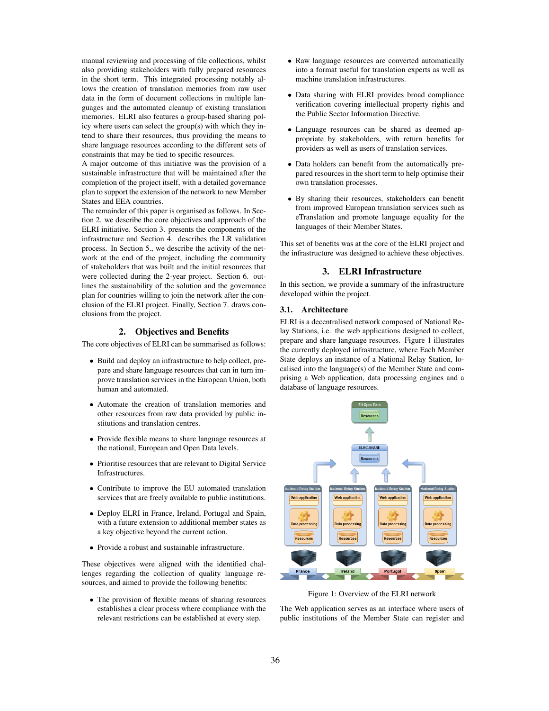manual reviewing and processing of file collections, whilst also providing stakeholders with fully prepared resources in the short term. This integrated processing notably allows the creation of translation memories from raw user data in the form of document collections in multiple languages and the automated cleanup of existing translation memories. ELRI also features a group-based sharing policy where users can select the group(s) with which they intend to share their resources, thus providing the means to share language resources according to the different sets of constraints that may be tied to specific resources.

A major outcome of this initiative was the provision of a sustainable infrastructure that will be maintained after the completion of the project itself, with a detailed governance plan to support the extension of the network to new Member States and EEA countries.

The remainder of this paper is organised as follows. In Section 2. we describe the core objectives and approach of the ELRI initiative. Section 3. presents the components of the infrastructure and Section 4. describes the LR validation process. In Section 5., we describe the activity of the network at the end of the project, including the community of stakeholders that was built and the initial resources that were collected during the 2-year project. Section 6. outlines the sustainability of the solution and the governance plan for countries willing to join the network after the conclusion of the ELRI project. Finally, Section 7. draws conclusions from the project.

# 2. Objectives and Benefits

The core objectives of ELRI can be summarised as follows:

- Build and deploy an infrastructure to help collect, prepare and share language resources that can in turn improve translation services in the European Union, both human and automated.
- Automate the creation of translation memories and other resources from raw data provided by public institutions and translation centres.
- Provide flexible means to share language resources at the national, European and Open Data levels.
- Prioritise resources that are relevant to Digital Service **Infrastructures**
- Contribute to improve the EU automated translation services that are freely available to public institutions.
- Deploy ELRI in France, Ireland, Portugal and Spain, with a future extension to additional member states as a key objective beyond the current action.
- Provide a robust and sustainable infrastructure.

These objectives were aligned with the identified challenges regarding the collection of quality language resources, and aimed to provide the following benefits:

• The provision of flexible means of sharing resources establishes a clear process where compliance with the relevant restrictions can be established at every step.

- Raw language resources are converted automatically into a format useful for translation experts as well as machine translation infrastructures.
- Data sharing with ELRI provides broad compliance verification covering intellectual property rights and the Public Sector Information Directive.
- Language resources can be shared as deemed appropriate by stakeholders, with return benefits for providers as well as users of translation services.
- Data holders can benefit from the automatically prepared resources in the short term to help optimise their own translation processes.
- By sharing their resources, stakeholders can benefit from improved European translation services such as eTranslation and promote language equality for the languages of their Member States.

This set of benefits was at the core of the ELRI project and the infrastructure was designed to achieve these objectives.

# 3. ELRI Infrastructure

In this section, we provide a summary of the infrastructure developed within the project.

#### 3.1. Architecture

ELRI is a decentralised network composed of National Relay Stations, i.e. the web applications designed to collect, prepare and share language resources. Figure 1 illustrates the currently deployed infrastructure, where Each Member State deploys an instance of a National Relay Station, localised into the language(s) of the Member State and comprising a Web application, data processing engines and a database of language resources.



Figure 1: Overview of the ELRI network

The Web application serves as an interface where users of public institutions of the Member State can register and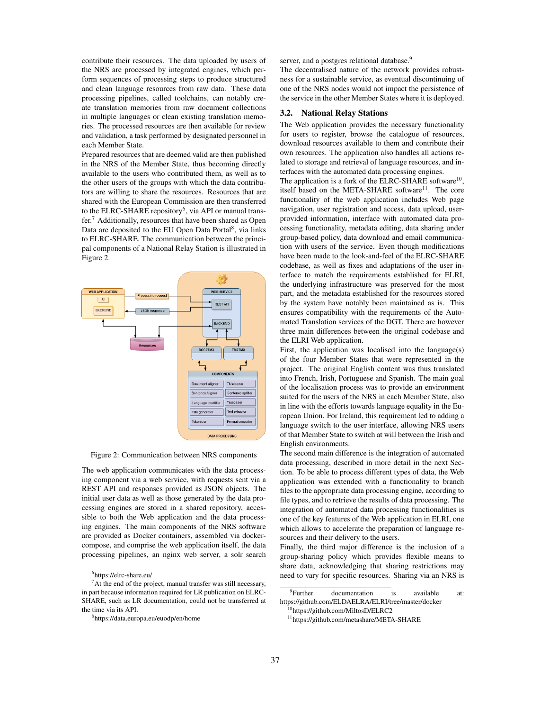contribute their resources. The data uploaded by users of the NRS are processed by integrated engines, which perform sequences of processing steps to produce structured and clean language resources from raw data. These data processing pipelines, called toolchains, can notably create translation memories from raw document collections in multiple languages or clean existing translation memories. The processed resources are then available for review and validation, a task performed by designated personnel in each Member State.

Prepared resources that are deemed valid are then published in the NRS of the Member State, thus becoming directly available to the users who contributed them, as well as to the other users of the groups with which the data contributors are willing to share the resources. Resources that are shared with the European Commission are then transferred to the ELRC-SHARE repository<sup>6</sup>, via API or manual transfer.<sup>7</sup> Additionally, resources that have been shared as Open Data are deposited to the EU Open Data Portal<sup>8</sup>, via links to ELRC-SHARE. The communication between the principal components of a National Relay Station is illustrated in Figure 2.



Figure 2: Communication between NRS components

The web application communicates with the data processing component via a web service, with requests sent via a REST API and responses provided as JSON objects. The initial user data as well as those generated by the data processing engines are stored in a shared repository, accessible to both the Web application and the data processing engines. The main components of the NRS software are provided as Docker containers, assembled via dockercompose, and comprise the web application itself, the data processing pipelines, an nginx web server, a solr search server, and a postgres relational database.<sup>9</sup>

The decentralised nature of the network provides robustness for a sustainable service, as eventual discontinuing of one of the NRS nodes would not impact the persistence of the service in the other Member States where it is deployed.

#### 3.2. National Relay Stations

The Web application provides the necessary functionality for users to register, browse the catalogue of resources, download resources available to them and contribute their own resources. The application also handles all actions related to storage and retrieval of language resources, and interfaces with the automated data processing engines.

The application is a fork of the ELRC-SHARE software<sup>10</sup>, itself based on the META-SHARE software<sup>11</sup>. The core functionality of the web application includes Web page navigation, user registration and access, data upload, userprovided information, interface with automated data processing functionality, metadata editing, data sharing under group-based policy, data download and email communication with users of the service. Even though modifications have been made to the look-and-feel of the ELRC-SHARE codebase, as well as fixes and adaptations of the user interface to match the requirements established for ELRI, the underlying infrastructure was preserved for the most part, and the metadata established for the resources stored by the system have notably been maintained as is. This ensures compatibility with the requirements of the Automated Translation services of the DGT. There are however three main differences between the original codebase and the ELRI Web application.

First, the application was localised into the language(s) of the four Member States that were represented in the project. The original English content was thus translated into French, Irish, Portuguese and Spanish. The main goal of the localisation process was to provide an environment suited for the users of the NRS in each Member State, also in line with the efforts towards language equality in the European Union. For Ireland, this requirement led to adding a language switch to the user interface, allowing NRS users of that Member State to switch at will between the Irish and English environments.

The second main difference is the integration of automated data processing, described in more detail in the next Section. To be able to process different types of data, the Web application was extended with a functionality to branch files to the appropriate data processing engine, according to file types, and to retrieve the results of data processing. The integration of automated data processing functionalities is one of the key features of the Web application in ELRI, one which allows to accelerate the preparation of language resources and their delivery to the users.

Finally, the third major difference is the inclusion of a group-sharing policy which provides flexible means to share data, acknowledging that sharing restrictions may need to vary for specific resources. Sharing via an NRS is

<sup>6</sup>https://elrc-share.eu/

 $<sup>7</sup>$ At the end of the project, manual transfer was still necessary,</sup> in part because information required for LR publication on ELRC-SHARE, such as LR documentation, could not be transferred at the time via its API.

<sup>8</sup>https://data.europa.eu/euodp/en/home

<sup>&</sup>lt;sup>9</sup>Further documentation is available at: https://github.com/ELDAELRA/ELRI/tree/master/docker

<sup>&</sup>lt;sup>2</sup>https://github.com/MiltosD/ELRC2

<sup>11</sup>https://github.com/metashare/META-SHARE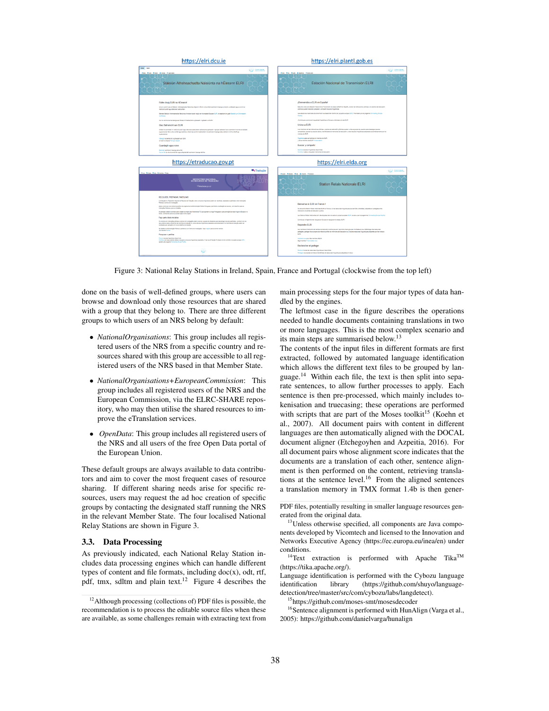

Figure 3: National Relay Stations in Ireland, Spain, France and Portugal (clockwise from the top left)

done on the basis of well-defined groups, where users can browse and download only those resources that are shared with a group that they belong to. There are three different groups to which users of an NRS belong by default:

- *NationalOrganisations*: This group includes all registered users of the NRS from a specific country and resources shared with this group are accessible to all registered users of the NRS based in that Member State.
- *NationalOrganisations+EuropeanCommission*: This group includes all registered users of the NRS and the European Commission, via the ELRC-SHARE repository, who may then utilise the shared resources to improve the eTranslation services.
- *OpenData*: This group includes all registered users of the NRS and all users of the free Open Data portal of the European Union.

These default groups are always available to data contributors and aim to cover the most frequent cases of resource sharing. If different sharing needs arise for specific resources, users may request the ad hoc creation of specific groups by contacting the designated staff running the NRS in the relevant Member State. The four localised National Relay Stations are shown in Figure 3.

#### 3.3. Data Processing

As previously indicated, each National Relay Station includes data processing engines which can handle different types of content and file formats, including  $doc(x)$ , odt, rtf, pdf, tmx, sdltm and plain text.<sup>12</sup> Figure 4 describes the main processing steps for the four major types of data handled by the engines.

The leftmost case in the figure describes the operations needed to handle documents containing translations in two or more languages. This is the most complex scenario and its main steps are summarised below.<sup>13</sup>

The contents of the input files in different formats are first extracted, followed by automated language identification which allows the different text files to be grouped by language.<sup>14</sup> Within each file, the text is then split into separate sentences, to allow further processes to apply. Each sentence is then pre-processed, which mainly includes tokenisation and truecasing; these operations are performed with scripts that are part of the Moses toolkit<sup>15</sup> (Koehn et al., 2007). All document pairs with content in different languages are then automatically aligned with the DOCAL document aligner (Etchegoyhen and Azpeitia, 2016). For all document pairs whose alignment score indicates that the documents are a translation of each other, sentence alignment is then performed on the content, retrieving translations at the sentence level.<sup>16</sup> From the aligned sentences a translation memory in TMX format 1.4b is then gener-

<sup>&</sup>lt;sup>12</sup>Although processing (collections of) PDF files is possible, the recommendation is to process the editable source files when these are available, as some challenges remain with extracting text from

PDF files, potentially resulting in smaller language resources generated from the original data.

<sup>&</sup>lt;sup>13</sup>Unless otherwise specified, all components are Java components developed by Vicomtech and licensed to the Innovation and Networks Executive Agency (https://ec.europa.eu/inea/en) under conditions.

<sup>&</sup>lt;sup>14</sup>Text extraction is performed with Apache Tika<sup>TM</sup> (https://tika.apache.org/).

Language identification is performed with the Cybozu language identification library (https://github.com/shuyo/languagedetection/tree/master/src/com/cybozu/labs/langdetect).

<sup>15</sup>https://github.com/moses-smt/mosesdecoder

<sup>&</sup>lt;sup>16</sup>Sentence alignment is performed with HunAlign (Varga et al., 2005): https://github.com/danielvarga/hunalign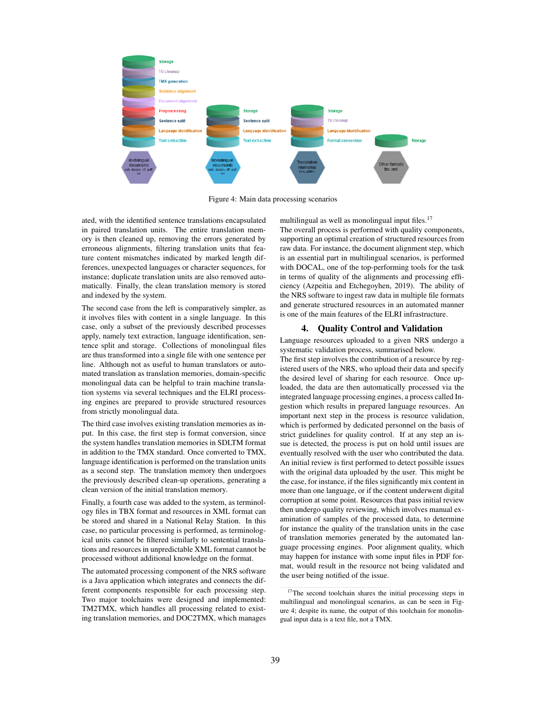

Figure 4: Main data processing scenarios

ated, with the identified sentence translations encapsulated in paired translation units. The entire translation memory is then cleaned up, removing the errors generated by erroneous alignments, filtering translation units that feature content mismatches indicated by marked length differences, unexpected languages or character sequences, for instance; duplicate translation units are also removed automatically. Finally, the clean translation memory is stored and indexed by the system.

The second case from the left is comparatively simpler, as it involves files with content in a single language. In this case, only a subset of the previously described processes apply, namely text extraction, language identification, sentence split and storage. Collections of monolingual files are thus transformed into a single file with one sentence per line. Although not as useful to human translators or automated translation as translation memories, domain-specific monolingual data can be helpful to train machine translation systems via several techniques and the ELRI processing engines are prepared to provide structured resources from strictly monolingual data.

The third case involves existing translation memories as input. In this case, the first step is format conversion, since the system handles translation memories in SDLTM format in addition to the TMX standard. Once converted to TMX, language identification is performed on the translation units as a second step. The translation memory then undergoes the previously described clean-up operations, generating a clean version of the initial translation memory.

Finally, a fourth case was added to the system, as terminology files in TBX format and resources in XML format can be stored and shared in a National Relay Station. In this case, no particular processing is performed, as terminological units cannot be filtered similarly to sentential translations and resources in unpredictable XML format cannot be processed without additional knowledge on the format.

The automated processing component of the NRS software is a Java application which integrates and connects the different components responsible for each processing step. Two major toolchains were designed and implemented: TM2TMX, which handles all processing related to existing translation memories, and DOC2TMX, which manages multilingual as well as monolingual input files.<sup>17</sup>

The overall process is performed with quality components, supporting an optimal creation of structured resources from raw data. For instance, the document alignment step, which is an essential part in multilingual scenarios, is performed with DOCAL, one of the top-performing tools for the task in terms of quality of the alignments and processing efficiency (Azpeitia and Etchegoyhen, 2019). The ability of the NRS software to ingest raw data in multiple file formats and generate structured resources in an automated manner is one of the main features of the ELRI infrastructure.

# 4. Quality Control and Validation

Language resources uploaded to a given NRS undergo a systematic validation process, summarised below.

The first step involves the contribution of a resource by registered users of the NRS, who upload their data and specify the desired level of sharing for each resource. Once uploaded, the data are then automatically processed via the integrated language processing engines, a process called Ingestion which results in prepared language resources. An important next step in the process is resource validation, which is performed by dedicated personnel on the basis of strict guidelines for quality control. If at any step an issue is detected, the process is put on hold until issues are eventually resolved with the user who contributed the data. An initial review is first performed to detect possible issues with the original data uploaded by the user. This might be the case, for instance, if the files significantly mix content in more than one language, or if the content underwent digital corruption at some point. Resources that pass initial review then undergo quality reviewing, which involves manual examination of samples of the processed data, to determine for instance the quality of the translation units in the case of translation memories generated by the automated language processing engines. Poor alignment quality, which may happen for instance with some input files in PDF format, would result in the resource not being validated and the user being notified of the issue.

<sup>&</sup>lt;sup>17</sup>The second toolchain shares the initial processing steps in multilingual and monolingual scenarios, as can be seen in Figure 4; despite its name, the output of this toolchain for monolingual input data is a text file, not a TMX.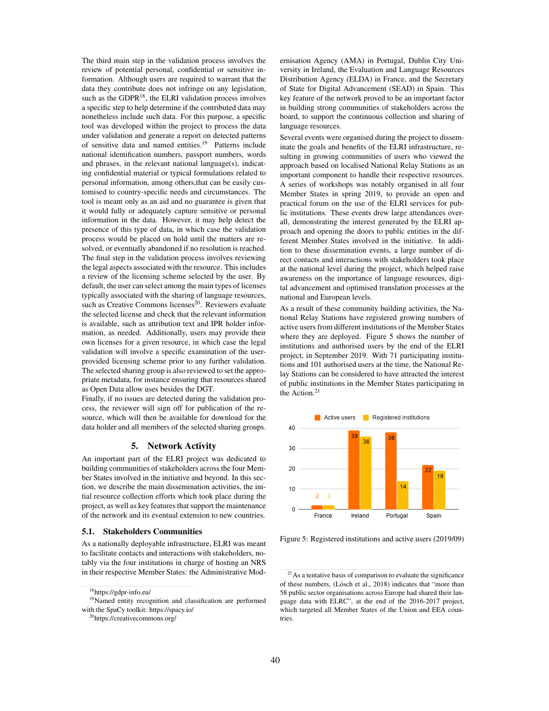The third main step in the validation process involves the review of potential personal, confidential or sensitive information. Although users are required to warrant that the data they contribute does not infringe on any legislation, such as the GDPR<sup>18</sup>, the ELRI validation process involves a specific step to help determine if the contributed data may nonetheless include such data. For this purpose, a specific tool was developed within the project to process the data under validation and generate a report on detected patterns of sensitive data and named entities.<sup>19</sup> Patterns include national identification numbers, passport numbers, words and phrases, in the relevant national language(s), indicating confidential material or typical formulations related to personal information, among others,that can be easily customised to country-specific needs and circumstances. The tool is meant only as an aid and no guarantee is given that it would fully or adequately capture sensitive or personal information in the data. However, it may help detect the presence of this type of data, in which case the validation process would be placed on hold until the matters are resolved, or eventually abandoned if no resolution is reached. The final step in the validation process involves reviewing the legal aspects associated with the resource. This includes a review of the licensing scheme selected by the user. By default, the user can select among the main types of licenses typically associated with the sharing of language resources, such as Creative Commons licenses<sup>20</sup>. Reviewers evaluate the selected license and check that the relevant information is available, such as attribution text and IPR holder information, as needed. Additionally, users may provide their own licenses for a given resource, in which case the legal validation will involve a specific examination of the userprovided licensing scheme prior to any further validation. The selected sharing group is also reviewed to set the appropriate metadata, for instance ensuring that resources shared as Open Data allow uses besides the DGT.

Finally, if no issues are detected during the validation process, the reviewer will sign off for publication of the resource, which will then be available for download for the data holder and all members of the selected sharing groups.

#### 5. Network Activity

An important part of the ELRI project was dedicated to building communities of stakeholders across the four Member States involved in the initiative and beyond. In this section, we describe the main dissemination activities, the initial resource collection efforts which took place during the project, as well as key features that support the maintenance of the network and its eventual extension to new countries.

#### 5.1. Stakeholders Communities

As a nationally deployable infrastructure, ELRI was meant to facilitate contacts and interactions with stakeholders, notably via the four institutions in charge of hosting an NRS in their respective Member States: the Administrative Mod-

<sup>18</sup>https://gdpr-info.eu/

ernisation Agency (AMA) in Portugal, Dublin City University in Ireland, the Evaluation and Language Resources Distribution Agency (ELDA) in France, and the Secretary of State for Digital Advancement (SEAD) in Spain. This key feature of the network proved to be an important factor in building strong communities of stakeholders across the board, to support the continuous collection and sharing of language resources.

Several events were organised during the project to disseminate the goals and benefits of the ELRI infrastructure, resulting in growing communities of users who viewed the approach based on localised National Relay Stations as an important component to handle their respective resources. A series of workshops was notably organised in all four Member States in spring 2019, to provide an open and practical forum on the use of the ELRI services for public institutions. These events drew large attendances overall, demonstrating the interest generated by the ELRI approach and opening the doors to public entities in the different Member States involved in the initiative. In addition to these dissemination events, a large number of direct contacts and interactions with stakeholders took place at the national level during the project, which helped raise awareness on the importance of language resources, digital advancement and optimised translation processes at the national and European levels.

As a result of these community building activities, the National Relay Stations have registered growing numbers of active users from different institutions of the Member States where they are deployed. Figure 5 shows the number of institutions and authorised users by the end of the ELRI project, in September 2019. With 71 participating institutions and 101 authorised users at the time, the National Relay Stations can be considered to have attracted the interest of public institutions in the Member States participating in the Action.<sup>21</sup>



Figure 5: Registered institutions and active users (2019/09)

<sup>&</sup>lt;sup>19</sup>Named entity recognition and classification are performed with the SpaCy toolkit: https://spacy.io/

<sup>20</sup>https://creativecommons.org/

 $2<sup>1</sup>$ As a tentative basis of comparison to evaluate the significance of these numbers, (Lösch et al., 2018) indicates that "more than 58 public sector organisations across Europe had shared their language data with ELRC", at the end of the 2016-2017 project, which targeted all Member States of the Union and EEA countries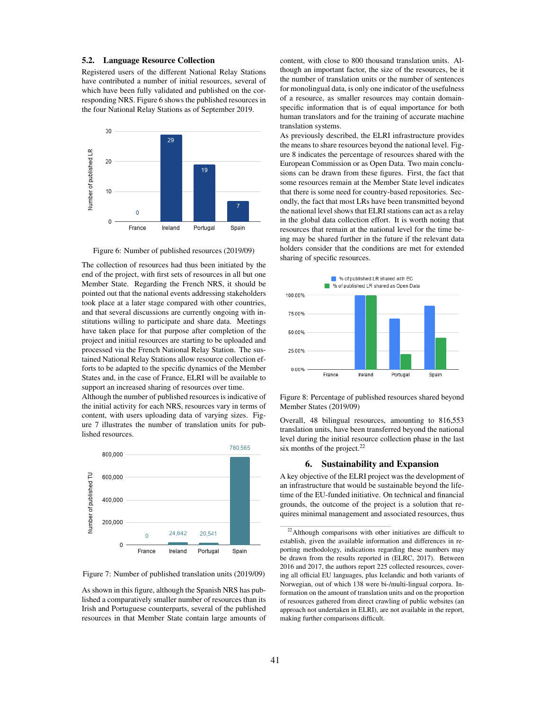#### 5.2. Language Resource Collection

Registered users of the different National Relay Stations have contributed a number of initial resources, several of which have been fully validated and published on the corresponding NRS. Figure 6 shows the published resources in the four National Relay Stations as of September 2019.



Figure 6: Number of published resources (2019/09)

The collection of resources had thus been initiated by the end of the project, with first sets of resources in all but one Member State. Regarding the French NRS, it should be pointed out that the national events addressing stakeholders took place at a later stage compared with other countries, and that several discussions are currently ongoing with institutions willing to participate and share data. Meetings have taken place for that purpose after completion of the project and initial resources are starting to be uploaded and processed via the French National Relay Station. The sustained National Relay Stations allow resource collection efforts to be adapted to the specific dynamics of the Member States and, in the case of France, ELRI will be available to support an increased sharing of resources over time.

Although the number of published resources is indicative of the initial activity for each NRS, resources vary in terms of content, with users uploading data of varying sizes. Figure 7 illustrates the number of translation units for published resources.



Figure 7: Number of published translation units (2019/09)

As shown in this figure, although the Spanish NRS has published a comparatively smaller number of resources than its Irish and Portuguese counterparts, several of the published resources in that Member State contain large amounts of content, with close to 800 thousand translation units. Although an important factor, the size of the resources, be it the number of translation units or the number of sentences for monolingual data, is only one indicator of the usefulness of a resource, as smaller resources may contain domainspecific information that is of equal importance for both human translators and for the training of accurate machine translation systems.

As previously described, the ELRI infrastructure provides the means to share resources beyond the national level. Figure 8 indicates the percentage of resources shared with the European Commission or as Open Data. Two main conclusions can be drawn from these figures. First, the fact that some resources remain at the Member State level indicates that there is some need for country-based repositories. Secondly, the fact that most LRs have been transmitted beyond the national level shows that ELRI stations can act as a relay in the global data collection effort. It is worth noting that resources that remain at the national level for the time being may be shared further in the future if the relevant data holders consider that the conditions are met for extended sharing of specific resources.



Figure 8: Percentage of published resources shared beyond Member States (2019/09)

Overall, 48 bilingual resources, amounting to 816,553 translation units, have been transferred beyond the national level during the initial resource collection phase in the last six months of the project. $^{22}$ 

# 6. Sustainability and Expansion

A key objective of the ELRI project was the development of an infrastructure that would be sustainable beyond the lifetime of the EU-funded initiative. On technical and financial grounds, the outcome of the project is a solution that requires minimal management and associated resources, thus

<sup>&</sup>lt;sup>22</sup>Although comparisons with other initiatives are difficult to establish, given the available information and differences in reporting methodology, indications regarding these numbers may be drawn from the results reported in (ELRC, 2017). Between 2016 and 2017, the authors report 225 collected resources, covering all official EU languages, plus Icelandic and both variants of Norwegian, out of which 138 were bi-/multi-lingual corpora. Information on the amount of translation units and on the proportion of resources gathered from direct crawling of public websites (an approach not undertaken in ELRI), are not available in the report, making further comparisons difficult.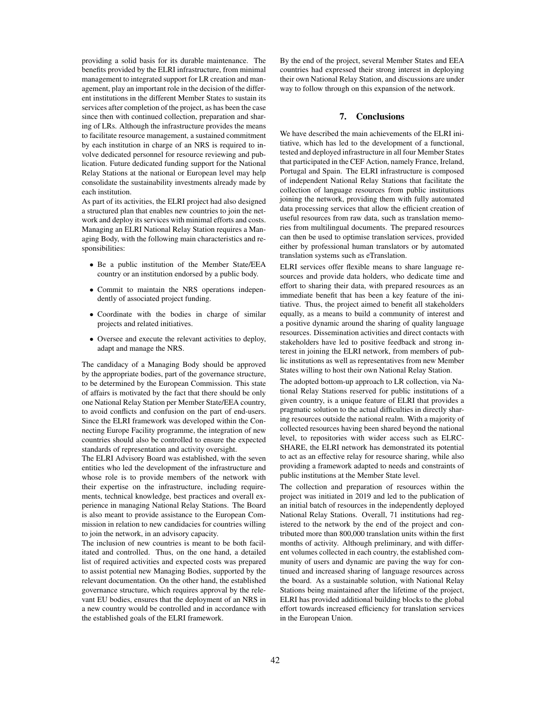providing a solid basis for its durable maintenance. The benefits provided by the ELRI infrastructure, from minimal management to integrated support for LR creation and management, play an important role in the decision of the different institutions in the different Member States to sustain its services after completion of the project, as has been the case since then with continued collection, preparation and sharing of LRs. Although the infrastructure provides the means to facilitate resource management, a sustained commitment by each institution in charge of an NRS is required to involve dedicated personnel for resource reviewing and publication. Future dedicated funding support for the National Relay Stations at the national or European level may help consolidate the sustainability investments already made by each institution.

As part of its activities, the ELRI project had also designed a structured plan that enables new countries to join the network and deploy its services with minimal efforts and costs. Managing an ELRI National Relay Station requires a Managing Body, with the following main characteristics and responsibilities:

- Be a public institution of the Member State/EEA country or an institution endorsed by a public body.
- Commit to maintain the NRS operations independently of associated project funding.
- Coordinate with the bodies in charge of similar projects and related initiatives.
- Oversee and execute the relevant activities to deploy, adapt and manage the NRS.

The candidacy of a Managing Body should be approved by the appropriate bodies, part of the governance structure, to be determined by the European Commission. This state of affairs is motivated by the fact that there should be only one National Relay Station per Member State/EEA country, to avoid conflicts and confusion on the part of end-users. Since the ELRI framework was developed within the Connecting Europe Facility programme, the integration of new countries should also be controlled to ensure the expected standards of representation and activity oversight.

The ELRI Advisory Board was established, with the seven entities who led the development of the infrastructure and whose role is to provide members of the network with their expertise on the infrastructure, including requirements, technical knowledge, best practices and overall experience in managing National Relay Stations. The Board is also meant to provide assistance to the European Commission in relation to new candidacies for countries willing to join the network, in an advisory capacity.

The inclusion of new countries is meant to be both facilitated and controlled. Thus, on the one hand, a detailed list of required activities and expected costs was prepared to assist potential new Managing Bodies, supported by the relevant documentation. On the other hand, the established governance structure, which requires approval by the relevant EU bodies, ensures that the deployment of an NRS in a new country would be controlled and in accordance with the established goals of the ELRI framework.

By the end of the project, several Member States and EEA countries had expressed their strong interest in deploying their own National Relay Station, and discussions are under way to follow through on this expansion of the network.

#### 7. Conclusions

We have described the main achievements of the ELRI initiative, which has led to the development of a functional, tested and deployed infrastructure in all four Member States that participated in the CEF Action, namely France, Ireland, Portugal and Spain. The ELRI infrastructure is composed of independent National Relay Stations that facilitate the collection of language resources from public institutions joining the network, providing them with fully automated data processing services that allow the efficient creation of useful resources from raw data, such as translation memories from multilingual documents. The prepared resources can then be used to optimise translation services, provided either by professional human translators or by automated translation systems such as eTranslation.

ELRI services offer flexible means to share language resources and provide data holders, who dedicate time and effort to sharing their data, with prepared resources as an immediate benefit that has been a key feature of the initiative. Thus, the project aimed to benefit all stakeholders equally, as a means to build a community of interest and a positive dynamic around the sharing of quality language resources. Dissemination activities and direct contacts with stakeholders have led to positive feedback and strong interest in joining the ELRI network, from members of public institutions as well as representatives from new Member States willing to host their own National Relay Station.

The adopted bottom-up approach to LR collection, via National Relay Stations reserved for public institutions of a given country, is a unique feature of ELRI that provides a pragmatic solution to the actual difficulties in directly sharing resources outside the national realm. With a majority of collected resources having been shared beyond the national level, to repositories with wider access such as ELRC-SHARE, the ELRI network has demonstrated its potential to act as an effective relay for resource sharing, while also providing a framework adapted to needs and constraints of public institutions at the Member State level.

The collection and preparation of resources within the project was initiated in 2019 and led to the publication of an initial batch of resources in the independently deployed National Relay Stations. Overall, 71 institutions had registered to the network by the end of the project and contributed more than 800,000 translation units within the first months of activity. Although preliminary, and with different volumes collected in each country, the established community of users and dynamic are paving the way for continued and increased sharing of language resources across the board. As a sustainable solution, with National Relay Stations being maintained after the lifetime of the project, ELRI has provided additional building blocks to the global effort towards increased efficiency for translation services in the European Union.